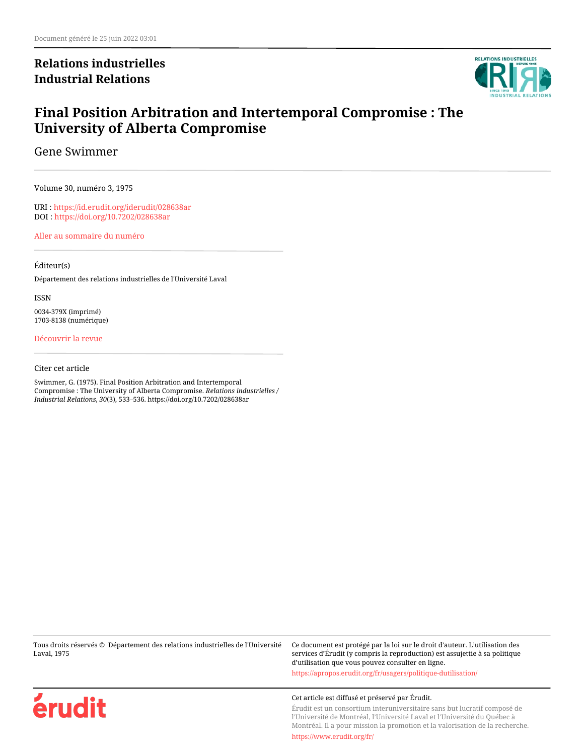## **Relations industrielles Industrial Relations**



## **Final Position Arbitration and Intertemporal Compromise : The University of Alberta Compromise**

Gene Swimmer

Volume 30, numéro 3, 1975

URI :<https://id.erudit.org/iderudit/028638ar> DOI :<https://doi.org/10.7202/028638ar>

[Aller au sommaire du numéro](https://www.erudit.org/fr/revues/ri/1975-v30-n3-ri2831/)

#### Éditeur(s)

Département des relations industrielles de l'Université Laval

ISSN 0034-379X (imprimé) 1703-8138 (numérique)

[Découvrir la revue](https://www.erudit.org/fr/revues/ri/)

#### Citer cet article

Swimmer, G. (1975). Final Position Arbitration and Intertemporal Compromise : The University of Alberta Compromise. *Relations industrielles / Industrial Relations*, *30*(3), 533–536. https://doi.org/10.7202/028638ar

Tous droits réservés © Département des relations industrielles de l'Université Laval, 1975

Ce document est protégé par la loi sur le droit d'auteur. L'utilisation des services d'Érudit (y compris la reproduction) est assujettie à sa politique d'utilisation que vous pouvez consulter en ligne. <https://apropos.erudit.org/fr/usagers/politique-dutilisation/>



#### Cet article est diffusé et préservé par Érudit.

Érudit est un consortium interuniversitaire sans but lucratif composé de l'Université de Montréal, l'Université Laval et l'Université du Québec à Montréal. Il a pour mission la promotion et la valorisation de la recherche.

<https://www.erudit.org/fr/>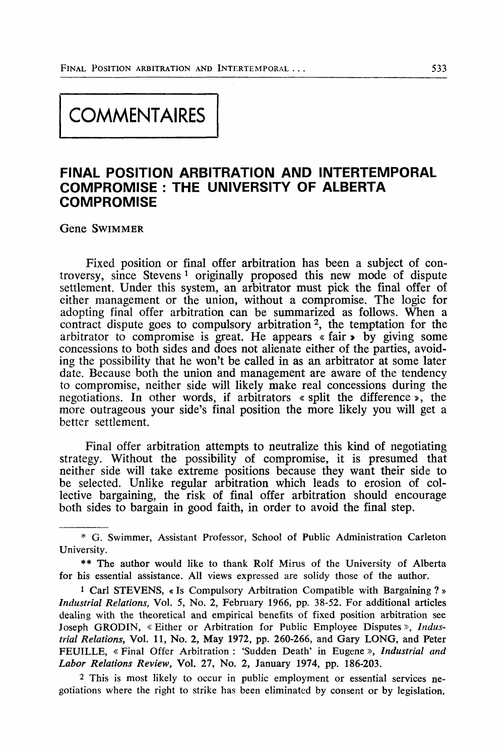# **COMMENTAIRES**

### **FINAL POSITION ARBITRATION AND INTERTEMPORAL COMPROMISE : THE UNIVERSITY OF ALBERTA COMPROMISE**

Gene SWIMMER

Fixed position or final offer arbitration has been a subject of controversy, since Stevens<sup>1</sup> originally proposed this new mode of dispute settlement. Under this system, an arbitrator must pick the final offer of either management or the union, without a compromise. The logic for adopting final offer arbitration can be summarized as follows. When a contract dispute goes to compulsory arbitration<sup>2</sup>, the temptation for the arbitrator to compromise is great. He appears « fair > by giving some concessions to both sides and does not alienate either of the parties, avoiding the possibility that he won't be called in as an arbitrator at some later date. Because both the union and management are aware of the tendency to compromise, neither side will likely make real concessions during the negotiations. In other words, if arbitrators « split the différence », the more outrageous your side's final position the more likely you will get a better settlement.

Final offer arbitration attempts to neutralize this kind of negotiating strategy. Without the possibility of compromise, it is presumed that neither side will take extreme positions because they want their side to be selected. Unlike regular arbitration which leads to erosion of collective bargaining, the risk of final offer arbitration should encourage both sides to bargain in good faith, in order to avoid the final step.

<sup>\*</sup> G. Swimmer, Assistant Prof essor, School of Public Administration Carleton University.

<sup>\*\*</sup> The author would like to thank Rolf Mirus of the University of Alberta for his essential assistance. Ail views expressed are solidy those of the author.

<sup>1</sup> Cari STEVENS, « Is Compulsory Arbitration Compatible with Bargaining ? » *Industrîal Relations,* Vol. 5, No. 2, Febmary 1966, pp. 38-52. For additional articles dealing with the theoretical and empirical benefits of fixed position arbitration see Joseph GRODIN, « Either or Arbitration for Public Employee Disputes », *Industrial Relations,* Vol. 11, No. 2, May 1972, pp. 260-266, and Gary LONG, and Peter FEUILLE, « Final Offer Arbitration : 'Sudden Death' in Eugene », *Industrial and Labor Relations Review,* Vol. 27, No. 2, January 1974, pp. 186-203.

<sup>2</sup> This is most likely to occur in public employment or essential services negotiations where the right to strike has been eliminated by consent or by législation.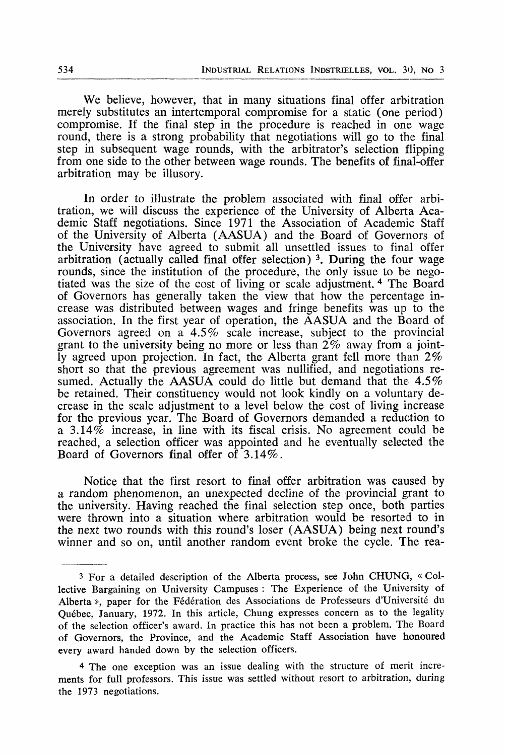We believe, however, that in many situations final offer arbitration merely substitutes an intertemporal compromise for a static (one period) compromise. If the final step in the procédure is reached in one wage round, there is a strong probability that negotiations will go to the final step in subsequent wage rounds, with the arbitrator's selection flipping from one side to the other between wage rounds. The benefits of final-offer arbitration may be illusory.

In order to illustrate the problem associated with final offer arbitration, we will discuss the expérience of the University of Alberta Académie Staff negotiations. Since 1971 the Association of Académie Staff of the University of Alberta (AASUA) and the Board of Governors of the University hâve agreed to submit ail unsettled issues to final offer arbitration (actually called final offer selection)<sup>3</sup>. During the four wage rounds, since the institution of the procédure, the only issue to be negotiated was the size of the cost of living or scale adjustment.<sup>4</sup> The Board of Governors has generally taken the view that how the percentage increase was distributed between wages and fringe benefits was up to the association. In the first year of opération, the AASUA and the Board of Governors agreed on a 4.5% scale increase, subject to the provincial grant to the university being no more or less than  $2\%$  away from a jointly agreed upon projection. In fact, the Alberta grant fell more than 2% short so that the previous agreement was nullified, and negotiations resumed. Actually the AASUA could do little but demand that the  $4.5\%$ be retained. Their constituency would not look kindly on a voluntary decrease in the scale adjustment to a level below the cost of living increase for the previous year. The Board of Governors demanded a réduction to a  $3.14\%$  increase, in line with its fiscal crisis. No agreement could be reached, a selection officer was appointed and he eventually selected the Board of Governors final offer of 3.14%.

Notice that the first resort to final offer arbitration was caused by a random phenomenon, an unexpected décline of the provincial grant to the university. Having reached the final selection step once, both parties were thrown into a situation where arbitration would be resorted to in the next two rounds with this round's loser (AASUA) being next round's winner and so on, until another random event broke the cycle. The rea-

<sup>3</sup> For a detailed description of the Alberta process, see John CHUNG, « Collective Bargaining on University Campuses : The Experience of the University of Alberta», paper for the Fédération des Associations de Professeurs d'Université du Québec, January, 1972. In this article, Chung expresses concern as to the legality of the selection officer's award. In practice this has not been a problem. The Board of Governors, the Province, and the Academic Staff Association have honoured every award handed down by the selection officers.

<sup>4</sup> The one exception was an issue dealing with the structure of merit incréments for full professors. This issue was settled without resort to arbitration, during the 1973 negotiations.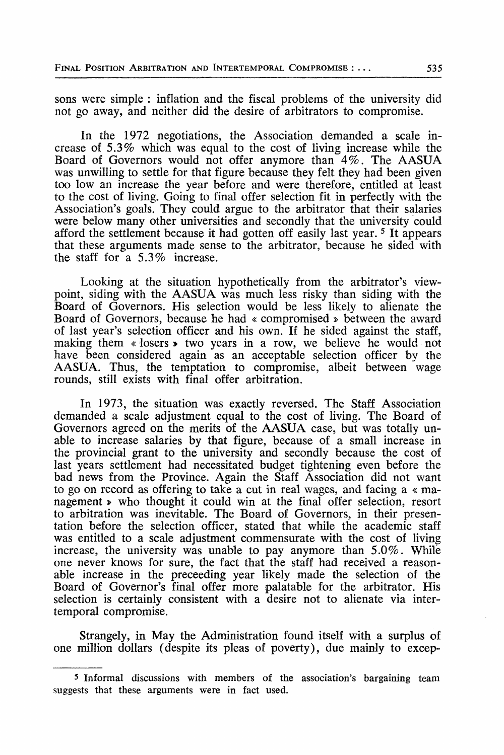sons were simple : inflation and the fiscal problems of the university did not go away, and neither did the désire of arbitrators to compromise.

In the 1972 negotiations, the Association demanded a scale increase of 5.3% which was equal to the cost of living increase while the Board of Governors would not offer anymore than 4%. The AASUA was unwilling to settle for that figure because they felt they had been given too low an increase the year before and were therefore, entitled at least to the cost of living. Going to final offer sélection fit in perfectly with the Association's goals. They could argue to the arbitrator that their salaries were below many other universities and secondly that the university could afford the settlement because it had gotten off easily last year.<sup>5</sup> It appears that thèse arguments made sensé to the arbitrator, because he sided with the staff for a 5.3% increase.

Looking at the situation hypothetically from the arbitrator's viewpoint, siding with the AASUA was much less risky than siding with the Board of Governors. His sélection would be less likely to alienate the Board of Governors, because he had « compromised » between the award of last year's sélection officer and his own. If he sided against the staff, making them « losers » two years in a row, we believe he would not have been considered again as an acceptable selection officer by the AASUA. Thus, the temptation to compromise, albeit between wage rounds, still exists with final offer arbitration.

In 1973, the situation was exactly reversed. The Staff Association demanded a scale adjustment equal to the cost of living. The Board of Governors agreed on the merits of the AASUA case, but was totally unable to increase salaries by that figure, because of a small increase in the provincial grant to the university and secondly because the cost of last years settlement had necessitated budget tightening even before the bad news from the Province. Again the Staff Association did not want to go on record as offering to take a eut in real wages, and facing a « management » who thought it could win at the final offer sélection, resort to arbitration was inevitable. The Board of Governors, in their presentation before the sélection officer, stated that while the académie staff was entitled to a scale adjustment commensurate with the cost of living increase, the university was unable to pay anymore than  $5.0\%$ . While one never knows for sure, the fact that the staff had received a reasonable increase in the preceeding year likely made the selection of the Board of Governor's final offer more palatable for the arbitrator. His sélection is certainly consistent with a désire not to alienate via intertemporal compromise.

Strangely, in May the Administration found itself with a surplus of one million dollars (despite its pleas of poverty), due mainly to excep-

<sup>5</sup> Informai discussions with members of the association's bargaining team suggests that these arguments were in fact used.